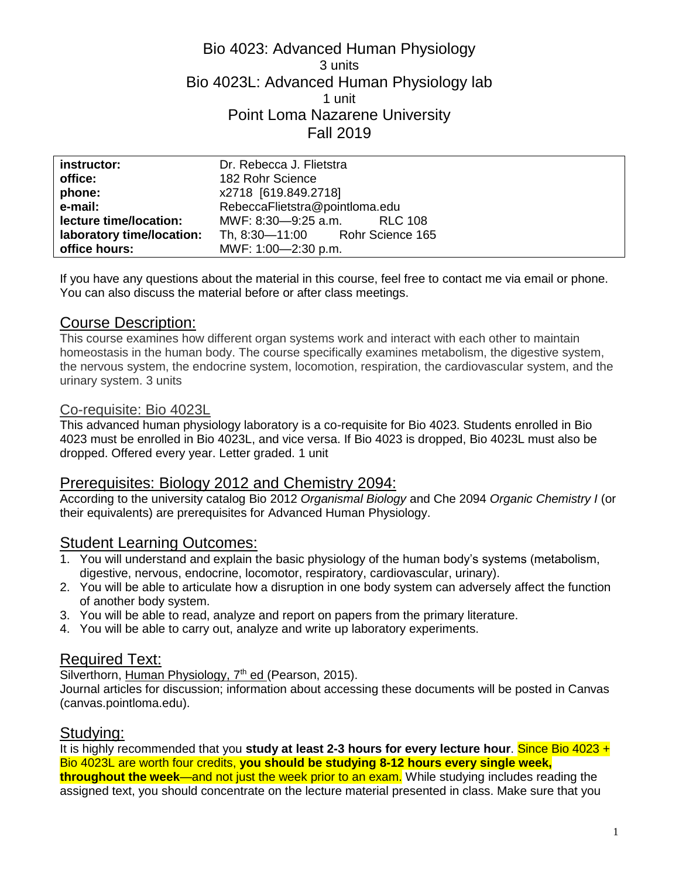## Bio 4023: Advanced Human Physiology 3 units Bio 4023L: Advanced Human Physiology lab 1 unit Point Loma Nazarene University Fall 2019

| instructor:               | Dr. Rebecca J. Flietstra        |
|---------------------------|---------------------------------|
| office:                   | 182 Rohr Science                |
| phone:                    | x2718 [619.849.2718]            |
| e-mail:                   | RebeccaFlietstra@pointloma.edu  |
| lecture time/location:    | MWF: 8:30-9:25 a.m. RLC 108     |
| laboratory time/location: | Th, 8:30-11:00 Rohr Science 165 |
| office hours:             | MWF: 1:00-2:30 p.m.             |

If you have any questions about the material in this course, feel free to contact me via email or phone. You can also discuss the material before or after class meetings.

### Course Description:

This course examines how different organ systems work and interact with each other to maintain homeostasis in the human body. The course specifically examines metabolism, the digestive system, the nervous system, the endocrine system, locomotion, respiration, the cardiovascular system, and the urinary system. 3 units

#### Co-requisite: Bio 4023L

This advanced human physiology laboratory is a co-requisite for Bio 4023. Students enrolled in Bio 4023 must be enrolled in Bio 4023L, and vice versa. If Bio 4023 is dropped, Bio 4023L must also be dropped. Offered every year. Letter graded. 1 unit

#### Prerequisites: Biology 2012 and Chemistry 2094:

According to the university catalog Bio 2012 *Organismal Biology* and Che 2094 *Organic Chemistry I* (or their equivalents) are prerequisites for Advanced Human Physiology.

## **Student Learning Outcomes:**

- 1. You will understand and explain the basic physiology of the human body's systems (metabolism, digestive, nervous, endocrine, locomotor, respiratory, cardiovascular, urinary).
- 2. You will be able to articulate how a disruption in one body system can adversely affect the function of another body system.
- 3. You will be able to read, analyze and report on papers from the primary literature.
- 4. You will be able to carry out, analyze and write up laboratory experiments.

#### Required Text:

Silverthorn, Human Physiology, 7<sup>th</sup> ed (Pearson, 2015).

Journal articles for discussion; information about accessing these documents will be posted in Canvas (canvas.pointloma.edu).

#### Studying:

It is highly recommended that you **study at least 2-3 hours for every lecture hour**. Since Bio 4023 + Bio 4023L are worth four credits, **you should be studying 8-12 hours every single week, throughout the week**—and not just the week prior to an exam. While studying includes reading the assigned text, you should concentrate on the lecture material presented in class. Make sure that you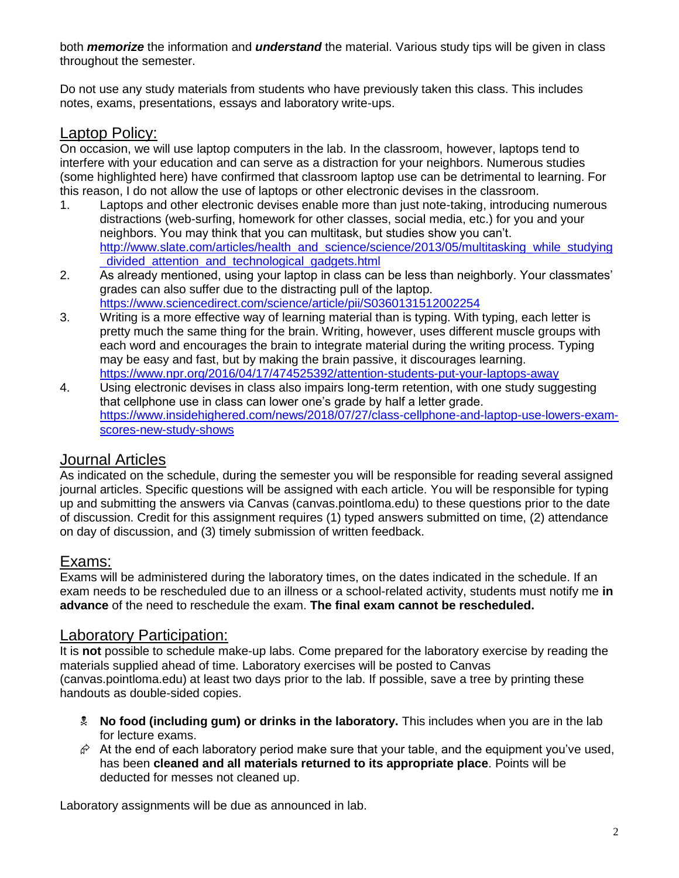both *memorize* the information and *understand* the material. Various study tips will be given in class throughout the semester.

Do not use any study materials from students who have previously taken this class. This includes notes, exams, presentations, essays and laboratory write-ups.

# Laptop Policy:

On occasion, we will use laptop computers in the lab. In the classroom, however, laptops tend to interfere with your education and can serve as a distraction for your neighbors. Numerous studies (some highlighted here) have confirmed that classroom laptop use can be detrimental to learning. For this reason, I do not allow the use of laptops or other electronic devises in the classroom.

- 1. Laptops and other electronic devises enable more than just note-taking, introducing numerous distractions (web-surfing, homework for other classes, social media, etc.) for you and your neighbors. You may think that you can multitask, but studies show you can't. [http://www.slate.com/articles/health\\_and\\_science/science/2013/05/multitasking\\_while\\_studying](http://www.slate.com/articles/health_and_science/science/2013/05/multitasking_while_studying_divided_attention_and_technological_gadgets.html) [\\_divided\\_attention\\_and\\_technological\\_gadgets.html](http://www.slate.com/articles/health_and_science/science/2013/05/multitasking_while_studying_divided_attention_and_technological_gadgets.html)
- 2. As already mentioned, using your laptop in class can be less than neighborly. Your classmates' grades can also suffer due to the distracting pull of the laptop. <https://www.sciencedirect.com/science/article/pii/S0360131512002254>
- 3. Writing is a more effective way of learning material than is typing. With typing, each letter is pretty much the same thing for the brain. Writing, however, uses different muscle groups with each word and encourages the brain to integrate material during the writing process. Typing may be easy and fast, but by making the brain passive, it discourages learning. <https://www.npr.org/2016/04/17/474525392/attention-students-put-your-laptops-away>
- 4. Using electronic devises in class also impairs long-term retention, with one study suggesting that cellphone use in class can lower one's grade by half a letter grade. [https://www.insidehighered.com/news/2018/07/27/class-cellphone-and-laptop-use-lowers-exam](https://www.insidehighered.com/news/2018/07/27/class-cellphone-and-laptop-use-lowers-exam-scores-new-study-shows)[scores-new-study-shows](https://www.insidehighered.com/news/2018/07/27/class-cellphone-and-laptop-use-lowers-exam-scores-new-study-shows)

## Journal Articles

As indicated on the schedule, during the semester you will be responsible for reading several assigned journal articles. Specific questions will be assigned with each article. You will be responsible for typing up and submitting the answers via Canvas (canvas.pointloma.edu) to these questions prior to the date of discussion. Credit for this assignment requires (1) typed answers submitted on time, (2) attendance on day of discussion, and (3) timely submission of written feedback.

### Exams:

Exams will be administered during the laboratory times, on the dates indicated in the schedule. If an exam needs to be rescheduled due to an illness or a school-related activity, students must notify me **in advance** of the need to reschedule the exam. **The final exam cannot be rescheduled.**

## Laboratory Participation:

It is **not** possible to schedule make-up labs. Come prepared for the laboratory exercise by reading the materials supplied ahead of time. Laboratory exercises will be posted to Canvas (canvas.pointloma.edu) at least two days prior to the lab. If possible, save a tree by printing these handouts as double-sided copies.

- **No food (including gum) or drinks in the laboratory.** This includes when you are in the lab for lecture exams.
- $\hat{\varphi}$  At the end of each laboratory period make sure that your table, and the equipment you've used, has been **cleaned and all materials returned to its appropriate place**. Points will be deducted for messes not cleaned up.

Laboratory assignments will be due as announced in lab.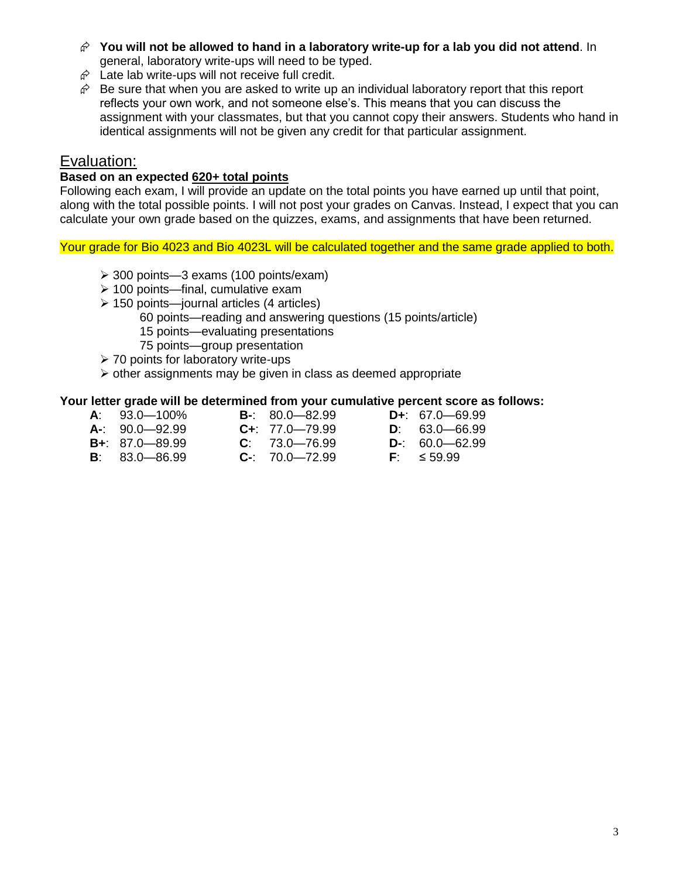- **You will not be allowed to hand in a laboratory write-up for a lab you did not attend**. In general, laboratory write-ups will need to be typed.
- $\hat{\varphi}$  Late lab write-ups will not receive full credit.
- $\hat{\varphi}$  Be sure that when you are asked to write up an individual laboratory report that this report reflects your own work, and not someone else's. This means that you can discuss the assignment with your classmates, but that you cannot copy their answers. Students who hand in identical assignments will not be given any credit for that particular assignment.

### Evaluation:

#### **Based on an expected 620+ total points**

Following each exam, I will provide an update on the total points you have earned up until that point, along with the total possible points. I will not post your grades on Canvas. Instead, I expect that you can calculate your own grade based on the quizzes, exams, and assignments that have been returned.

Your grade for Bio 4023 and Bio 4023L will be calculated together and the same grade applied to both.

- 300 points—3 exams (100 points/exam)
- $\geq 100$  points—final, cumulative exam
- $\geq$  150 points—journal articles (4 articles)
	- 60 points—reading and answering questions (15 points/article)
	- 15 points—evaluating presentations
	- 75 points—group presentation
- **≻ 70 points for laboratory write-ups**
- $\triangleright$  other assignments may be given in class as deemed appropriate

#### **Your letter grade will be determined from your cumulative percent score as follows:**

- **A**: 93.0—100% **B-**: 80.0—82.99 **D+**: 67.0—69.99 **A-**: 90.0—92.99 **C+**: 77.0—79.99 **D**: 63.0—66.99 **B+**: 87.0—89.99 **C**: 73.0—76.99 **D**-: 60.0—62.99<br>**B**: 83.0—86.99 **C-**: 70.0—72.99 **F**: ≤59.99 **B**: 83.0—86.99 **C-**: 70.0—72.99 **F**: ≤ 59.99
	-
	-
- 
- 
-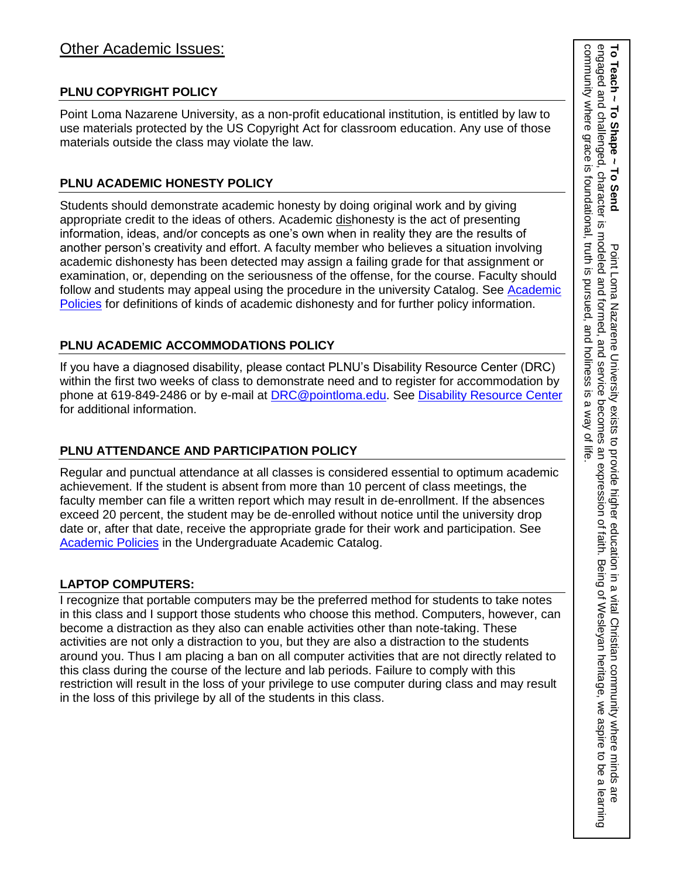### **PLNU COPYRIGHT POLICY**

Point Loma Nazarene University, as a non-profit educational institution, is entitled by law to use materials protected by the US Copyright Act for classroom education. Any use of those materials outside the class may violate the law.

### **PLNU ACADEMIC HONESTY POLICY**

Students should demonstrate academic honesty by doing original work and by giving appropriate credit to the ideas of others. Academic dishonesty is the act of presenting information, ideas, and/or concepts as one's own when in reality they are the results of another person's creativity and effort. A faculty member who believes a situation involving academic dishonesty has been detected may assign a failing grade for that assignment or examination, or, depending on the seriousness of the offense, for the course. Faculty should follow and students may appeal using the procedure in the university Catalog. See [Academic](http://catalog.pointloma.edu/content.php?catoid=18&navoid=1278)  [Policies](http://catalog.pointloma.edu/content.php?catoid=18&navoid=1278) for definitions of kinds of academic dishonesty and for further policy information.

## **PLNU ACADEMIC ACCOMMODATIONS POLICY**

If you have a diagnosed disability, please contact PLNU's Disability Resource Center (DRC) within the first two weeks of class to demonstrate need and to register for accommodation by phone at 619-849-2486 or by e-mail at **[DRC@pointloma.edu.](mailto:DRC@pointloma.edu)** See [Disability Resource Center](http://www.pointloma.edu/experience/offices/administrative-offices/academic-advising-office/disability-resource-center) for additional information.

## **PLNU ATTENDANCE AND PARTICIPATION POLICY**

Regular and punctual attendance at all classes is considered essential to optimum academic achievement. If the student is absent from more than 10 percent of class meetings, the faculty member can file a written report which may result in de-enrollment. If the absences exceed 20 percent, the student may be de-enrolled without notice until the university drop date or, after that date, receive the appropriate grade for their work and participation. See [Academic Policies](http://catalog.pointloma.edu/content.php?catoid=18&navoid=1278) in the Undergraduate Academic Catalog.

### **LAPTOP COMPUTERS:**

I recognize that portable computers may be the preferred method for students to take notes in this class and I support those students who choose this method. Computers, however, can become a distraction as they also can enable activities other than note-taking. These activities are not only a distraction to you, but they are also a distraction to the students around you. Thus I am placing a ban on all computer activities that are not directly related to this class during the course of the lecture and lab periods. Failure to comply with this restriction will result in the loss of your privilege to use computer during class and may result in the loss of this privilege by all of the students in this class.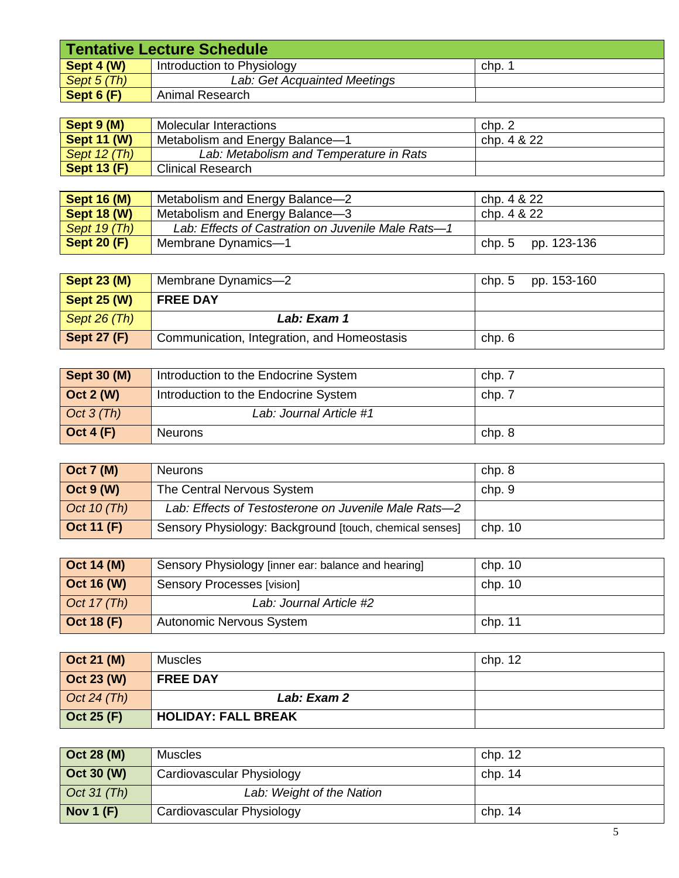| <b>Tentative Lecture Schedule</b> |                              |      |
|-----------------------------------|------------------------------|------|
| Sept 4 (W)                        | Introduction to Physiology   | chp. |
| Sept 5 (Th)                       | Lab: Get Acquainted Meetings |      |
| Sept $6(F)$                       | Animal Research              |      |

| Sept 9 (M)         | Molecular Interactions                  | _chp. ∠     |
|--------------------|-----------------------------------------|-------------|
| <b>Sept 11 (W)</b> | Metabolism and Energy Balance-1         | chp. 4 & 22 |
| Sept 12 (Th)       | Lab: Metabolism and Temperature in Rats |             |
| <b>Sept 13 (F)</b> | Clinical Research                       |             |

| <b>Sept 16 (M)</b> | Metabolism and Energy Balance-2                    | chp. 4 & 22        |
|--------------------|----------------------------------------------------|--------------------|
| <b>Sept 18 (W)</b> | Metabolism and Energy Balance-3                    | chp. 4 & 22        |
| Sept 19 (Th)       | Lab: Effects of Castration on Juvenile Male Rats-1 |                    |
| <b>Sept 20 (F)</b> | Membrane Dynamics-1                                | chp. 5 pp. 123-136 |

| <b>Sept 23 (M)</b> | Membrane Dynamics-2                         | pp. 153-160<br>chp. 5 |
|--------------------|---------------------------------------------|-----------------------|
| <b>Sept 25 (W)</b> | <b>FREE DAY</b>                             |                       |
| Sept $26$ (Th)     | Lab: Exam 1                                 |                       |
| <b>Sept 27 (F)</b> | Communication, Integration, and Homeostasis | chp. 6                |

| <b>Sept 30 (M)</b> | Introduction to the Endocrine System | chp. 7 |
|--------------------|--------------------------------------|--------|
| Oct $2(W)$         | Introduction to the Endocrine System | chp. 7 |
| Oct $3$ (Th)       | Lab: Journal Article #1              |        |
| Oct 4 $(F)$        | <b>Neurons</b>                       | chp. 8 |

| $\vert$ Oct 7 (M)  | <b>Neurons</b>                                          | chp. 8  |
|--------------------|---------------------------------------------------------|---------|
| $\vert$ Oct 9 (W)  | The Central Nervous System                              | chp. 9  |
| Oct 10 $(Th)$      | Lab: Effects of Testosterone on Juvenile Male Rats-2    |         |
| $\vert$ Oct 11 (F) | Sensory Physiology: Background [touch, chemical senses] | chp. 10 |

| $\vert$ Oct 14 (M) | Sensory Physiology [inner ear: balance and hearing] | chp. 10 |
|--------------------|-----------------------------------------------------|---------|
| $\vert$ Oct 16 (W) | Sensory Processes [vision]                          | chp. 10 |
| Oct $17$ (Th)      | Lab: Journal Article #2                             |         |
| $\vert$ Oct 18 (F) | Autonomic Nervous System                            | chp. 11 |

| $\vert$ Oct 21 (M)     | <b>Muscles</b>             | chp. 12 |
|------------------------|----------------------------|---------|
| $\vert$ Oct 23 (W)     | <b>FREE DAY</b>            |         |
| $\bigcirc$ Oct 24 (Th) | Lab: Exam 2                |         |
| $\vert$ Oct 25 (F)     | <b>HOLIDAY: FALL BREAK</b> |         |

| Oct 28 (M)          | Muscles                   | chp. 12   |
|---------------------|---------------------------|-----------|
| <b>Oct 30 (W)</b>   | Cardiovascular Physiology | chp. $14$ |
| $\vert$ Oct 31 (Th) | Lab: Weight of the Nation |           |
| Nov 1 $(F)$         | Cardiovascular Physiology | chp. $14$ |